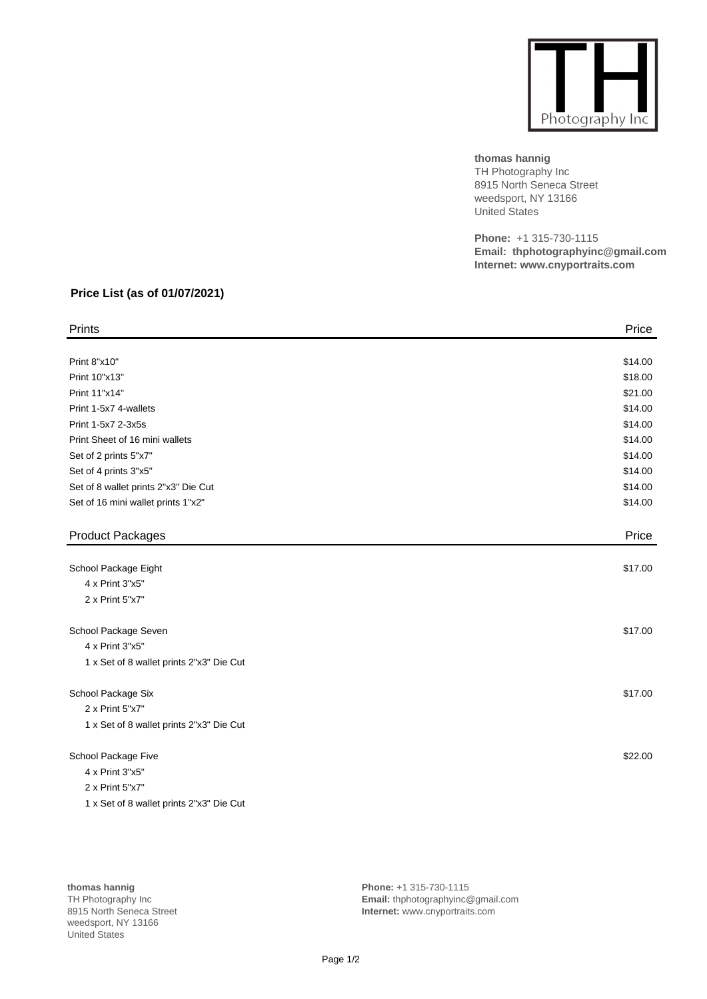

**thomas hannig** TH Photography Inc 8915 North Seneca Street weedsport, NY 13166 United States

**Phone:** +1 315-730-1115 **Email: thphotographyinc@gmail.com Internet: www.cnyportraits.com**

## **Price List (as of 01/07/2021)**

| Prints                                   | Price   |
|------------------------------------------|---------|
|                                          |         |
| Print 8"x10"                             | \$14.00 |
| Print 10"x13"                            | \$18.00 |
| Print 11"x14"                            | \$21.00 |
| Print 1-5x7 4-wallets                    | \$14.00 |
| Print 1-5x7 2-3x5s                       | \$14.00 |
| Print Sheet of 16 mini wallets           | \$14.00 |
| Set of 2 prints 5"x7"                    | \$14.00 |
| Set of 4 prints 3"x5"                    | \$14.00 |
| Set of 8 wallet prints 2"x3" Die Cut     | \$14.00 |
| Set of 16 mini wallet prints 1"x2"       | \$14.00 |
| <b>Product Packages</b>                  | Price   |
|                                          |         |
| School Package Eight                     | \$17.00 |
| 4 x Print 3"x5"                          |         |
| 2 x Print 5"x7"                          |         |
| School Package Seven                     | \$17.00 |
| 4 x Print 3"x5"                          |         |
| 1 x Set of 8 wallet prints 2"x3" Die Cut |         |
| School Package Six                       | \$17.00 |
| 2 x Print 5"x7"                          |         |
| 1 x Set of 8 wallet prints 2"x3" Die Cut |         |
| School Package Five                      | \$22.00 |
| 4 x Print 3"x5"                          |         |
| 2 x Print 5"x7"                          |         |
| 1 x Set of 8 wallet prints 2"x3" Die Cut |         |

**thomas hannig** TH Photography Inc 8915 North Seneca Street weedsport, NY 13166 United States

**Phone:** +1 315-730-1115 **Email:** thphotographyinc@gmail.com **Internet:** www.cnyportraits.com